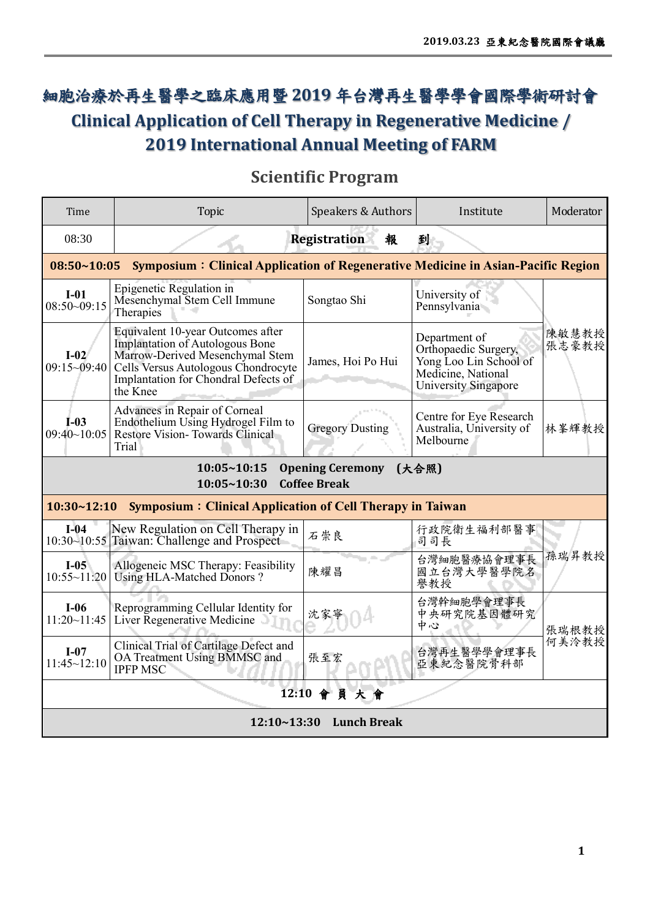## 細胞治療於再生醫學之臨床應用暨 **2019** 年台灣再生醫學學會國際學術研討會 **Clinical Application of Cell Therapy in Regenerative Medicine / 2019 International Annual Meeting of FARM**

## **Scientific Program**

| Time                                                                                                       | <b>Topic</b>                                                                                                                                                                                       | <b>Speakers &amp; Authors</b> | Institute                                                                                                            | Moderator      |  |
|------------------------------------------------------------------------------------------------------------|----------------------------------------------------------------------------------------------------------------------------------------------------------------------------------------------------|-------------------------------|----------------------------------------------------------------------------------------------------------------------|----------------|--|
| <b>Registration</b><br>08:30<br>報<br>到                                                                     |                                                                                                                                                                                                    |                               |                                                                                                                      |                |  |
| <b>Symposium: Clinical Application of Regenerative Medicine in Asian-Pacific Region</b><br>$08:50 - 10:05$ |                                                                                                                                                                                                    |                               |                                                                                                                      |                |  |
| $I-01$<br>$08:50-09:15$                                                                                    | Epigenetic Regulation in<br>Mesenchymal Stem Cell Immune<br>Therapies                                                                                                                              | Songtao Shi                   | University of<br>Pennsylvania                                                                                        |                |  |
| $I-02$<br>$09:15 - 09:40$                                                                                  | Equivalent 10-year Outcomes after<br>Implantation of Autologous Bone<br>Marrow-Derived Mesenchymal Stem<br>Cells Versus Autologous Chondrocyte<br>Implantation for Chondral Defects of<br>the Knee | James, Hoi Po Hui             | Department of<br>Orthopaedic Surgery,<br>Yong Loo Lin School of<br>Medicine, National<br><b>University Singapore</b> | 陳敏慧教授<br>張志豪教授 |  |
| $I-03$<br>09:40~10:05                                                                                      | Advances in Repair of Corneal<br>Endothelium Using Hydrogel Film to<br>Restore Vision-Towards Clinical<br>Trial                                                                                    | <b>Gregory Dusting</b>        | Centre for Eye Research<br>Australia, University of<br>Melbourne                                                     | 林峯輝教授          |  |
| <b>Opening Ceremony</b><br>10:05~10:15<br>(大合照)<br>10:05~10:30<br><b>Coffee Break</b>                      |                                                                                                                                                                                                    |                               |                                                                                                                      |                |  |
| 10:30~12:10<br><b>Symposium: Clinical Application of Cell Therapy in Taiwan</b>                            |                                                                                                                                                                                                    |                               |                                                                                                                      |                |  |
| $I-04$                                                                                                     | New Regulation on Cell Therapy in<br>10:30~10:55 Taiwan: Challenge and Prospect                                                                                                                    | 石崇良                           | 行政院衛生福利部醫事<br>司司長                                                                                                    |                |  |
| $I-05$<br>10:55~11:20                                                                                      | Allogeneic MSC Therapy: Feasibility<br>Using HLA-Matched Donors?                                                                                                                                   | 陳耀昌                           | 台灣細胞醫療協會理事長<br>國立台灣大學醫學院名<br>譽教授                                                                                     | 孫瑞昇教授          |  |
| $I-06$<br>11:20~11:45                                                                                      | Reprogramming Cellular Identity for<br>Liver Regenerative Medicine                                                                                                                                 | 沈家寧                           | 台灣幹細胞學會理事長<br>中央研究院基因體研究<br>中心                                                                                       | 張瑞根教授          |  |
| $I-07$<br>11:45~12:10                                                                                      | Clinical Trial of Cartilage Defect and<br>OA Treatment Using BMMSC and<br><b>IPFP MSC</b>                                                                                                          | 張至宏                           | 台灣再生醫學學會理事長<br>亞東紀念醫院骨科部                                                                                             | 何美泠教授          |  |
| 12:10 會員大會                                                                                                 |                                                                                                                                                                                                    |                               |                                                                                                                      |                |  |
| <b>Lunch Break</b><br>12:10~13:30                                                                          |                                                                                                                                                                                                    |                               |                                                                                                                      |                |  |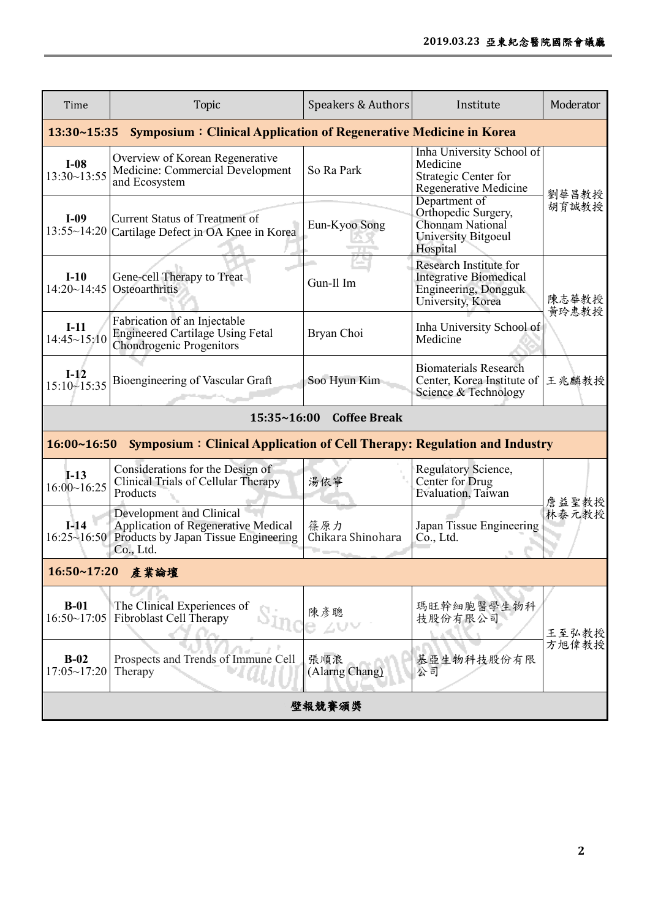| Time                                                                                    | <b>Topic</b>                                                                                                                | Speakers & Authors       | Institute                                                                                            | Moderator      |  |
|-----------------------------------------------------------------------------------------|-----------------------------------------------------------------------------------------------------------------------------|--------------------------|------------------------------------------------------------------------------------------------------|----------------|--|
| 13:30~15:35<br><b>Symposium: Clinical Application of Regenerative Medicine in Korea</b> |                                                                                                                             |                          |                                                                                                      |                |  |
| $I-08$<br>$13:30 - 13:55$                                                               | Overview of Korean Regenerative<br>Medicine: Commercial Development<br>and Ecosystem                                        | So Ra Park               | Inha University School of<br>Medicine<br>Strategic Center for<br>Regenerative Medicine               | 劉華昌教授          |  |
| $I-09$<br>$13:55~-14:20$                                                                | <b>Current Status of Treatment of</b><br>Cartilage Defect in OA Knee in Korea                                               | Eun-Kyoo Song            | Department of<br>Orthopedic Surgery,<br>Chonnam National<br>University Bitgoeul<br>Hospital          | 胡育誠教授          |  |
| $I-10$<br>14:20~14:45                                                                   | Gene-cell Therapy to Treat<br>Osteoarthritis                                                                                | Gun-Il Im                | Research Institute for<br><b>Integrative Biomedical</b><br>Engineering, Dongguk<br>University, Korea | 陳志華教授<br>黄玲惠教授 |  |
| $I-11$<br>14:45~15:10                                                                   | Fabrication of an Injectable<br><b>Engineered Cartilage Using Fetal</b><br><b>Chondrogenic Progenitors</b>                  | Bryan Choi               | Inha University School of<br>Medicine                                                                |                |  |
| $I-12$<br>$15:10 - 15:35$                                                               | Bioengineering of Vascular Graft                                                                                            | Soo Hyun Kim             | <b>Biomaterials Research</b><br>Center, Korea Institute of<br>Science & Technology                   | 王兆麟教授          |  |
|                                                                                         | 15:35~16:00                                                                                                                 | <b>Coffee Break</b>      |                                                                                                      |                |  |
| 16:00~16:50                                                                             | <b>Symposium: Clinical Application of Cell Therapy: Regulation and Industry</b>                                             |                          |                                                                                                      |                |  |
| $I-13$<br>16:00~16:25                                                                   | Considerations for the Design of<br>Clinical Trials of Cellular Therapy<br>Products                                         | 湯依寧                      | Regulatory Science,<br>Center for Drug<br>Evaluation, Taiwan                                         | 詹益聖教授          |  |
| $I-14$<br>$16:25 \sim 16:50$                                                            | Development and Clinical<br><b>Application of Regenerative Medical</b><br>Products by Japan Tissue Engineering<br>Co., Ltd. | 篠原力<br>Chikara Shinohara | Japan Tissue Engineering<br>Co., Ltd.                                                                | 林泰元教授          |  |
| 16:50~17:20 產業論壇                                                                        |                                                                                                                             |                          |                                                                                                      |                |  |
| $B-01$<br>16:50~17:05                                                                   | The Clinical Experiences of<br>Fibroblast Cell Therapy                                                                      | 陳彥聰<br>$\angle$ V $\vee$ | 瑪旺幹細胞醫學生物科<br>技股份有限公司                                                                                | 王至弘教授          |  |
| $B-02$<br>17:05~17:20                                                                   | Prospects and Trends of Immune Cell<br>Therapy                                                                              | 張順浪<br>(Alarng Chang)    | 基亞生物科技股份有限<br>公司                                                                                     | 方旭偉教授          |  |
| 壁報競賽頒獎                                                                                  |                                                                                                                             |                          |                                                                                                      |                |  |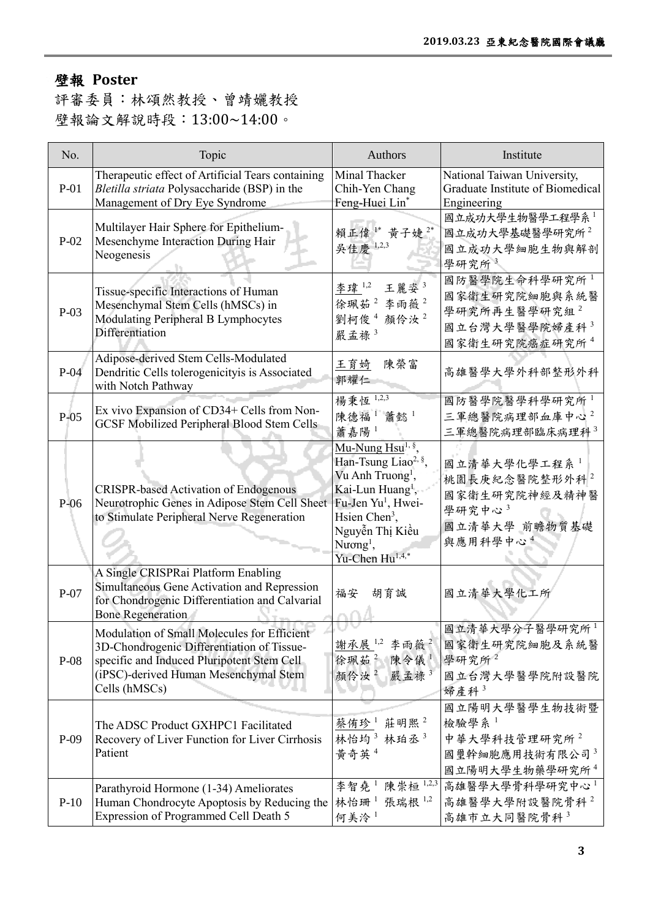## 壁報 **Poster**

評審委員:林頌然教授、曾靖孋教授 壁報論文解說時段:13:00~14:00。

| No.    | Topic                                                                                                                                                                                             | Authors                                                                                                                                                                                                                                                                  | Institute                                                                                        |
|--------|---------------------------------------------------------------------------------------------------------------------------------------------------------------------------------------------------|--------------------------------------------------------------------------------------------------------------------------------------------------------------------------------------------------------------------------------------------------------------------------|--------------------------------------------------------------------------------------------------|
| $P-01$ | Therapeutic effect of Artificial Tears containing<br>Bletilla striata Polysaccharide (BSP) in the<br>Management of Dry Eye Syndrome                                                               | Minal Thacker<br>Chih-Yen Chang<br>Feng-Huei Lin*                                                                                                                                                                                                                        | National Taiwan University,<br>Graduate Institute of Biomedical<br>Engineering                   |
| $P-02$ | Multilayer Hair Sphere for Epithelium-<br>Mesenchyme Interaction During Hair<br>Neogenesis                                                                                                        | 賴正偉1* 黃子婕2*<br>吳佳慶 1,2,3                                                                                                                                                                                                                                                 | 國立成功大學生物醫學工程學系<br>國立成功大學基礎醫學研究所 <sup>2</sup><br>國立成功大學細胞生物與解剖<br>學研究所3                           |
| $P-03$ | Tissue-specific Interactions of Human<br>Mesenchymal Stem Cells (hMSCs) in<br>Modulating Peripheral B Lymphocytes<br>Differentiation                                                              | 李瑋 1,2<br>王麗姿3<br>徐珮茹2李雨薇2<br>劉柯俊4顏伶汝2<br>嚴孟祿3                                                                                                                                                                                                                           | 國防醫學院生命科學研究所1<br>國家衛生研究院細胞與系統醫<br>學研究所再生醫學研究組2<br>國立台灣大學醫學院婦產科3<br>國家衛生研究院癌症研究所4                 |
| $P-04$ | Adipose-derived Stem Cells-Modulated<br>Dendritic Cells tolerogenicityis is Associated<br>with Notch Pathway                                                                                      | 王育婍<br>陳榮富<br>郭耀仁                                                                                                                                                                                                                                                        | 高雄醫學大學外科部整形外科                                                                                    |
| $P-05$ | Ex vivo Expansion of CD34+ Cells from Non-<br><b>GCSF Mobilized Peripheral Blood Stem Cells</b>                                                                                                   | 楊秉恆 1,2,3<br>陳德福 <sup>1</sup> 蕭懿 <sup>1</sup><br>蕭嘉陽1                                                                                                                                                                                                                    | 國防醫學院醫學科學研究所<br>三軍總醫院病理部血庫中心2<br>三軍總醫院病理部臨床病理科 <sup>3</sup>                                      |
| $P-06$ | <b>CRISPR-based Activation of Endogenous</b><br>Neurotrophic Genes in Adipose Stem Cell Sheet<br>to Stimulate Peripheral Nerve Regeneration                                                       | Mu-Nung Hsu <sup>1, §</sup><br>Han-Tsung Liao <sup>2, §</sup> ,<br>Vu Anh Truong <sup>1</sup> ,<br>Kai-Lun Huang <sup>1</sup> ,<br>Fu-Jen Yu <sup>1</sup> , Hwei-<br>Hsien Chen <sup>3</sup> ,<br>Nguyễn Thị Kiều<br>Nuong <sup>1</sup> ,<br>Yu-Chen Hu <sup>1,4,*</sup> | 國立清華大學化學工程系1<br>桃園長庚紀念醫院整形外科2<br>國家衛生研究院神經及精神醫<br>學研究中心3<br>國立清華大學 前瞻物質基礎<br>與應用科學中心4            |
| $P-07$ | A Single CRISPRai Platform Enabling<br>Simultaneous Gene Activation and Repression<br>for Chondrogenic Differentiation and Calvarial<br><b>Bone Regeneration</b>                                  | 福安<br>胡育誠                                                                                                                                                                                                                                                                | 國立清華大學化工所                                                                                        |
| $P-08$ | Modulation of Small Molecules for Efficient<br>3D-Chondrogenic Differentiation of Tissue-<br>specific and Induced Pluripotent Stem Cell<br>(iPSC)-derived Human Mesenchymal Stem<br>Cells (hMSCs) | 謝承展 1,2 李雨薇 2<br>徐珮茹 $2$<br>陳令儀1<br>顏伶汝2<br>嚴孟祿3                                                                                                                                                                                                                         | 國立清華大學分子醫學研究所1<br>國家衛生研究院細胞及系統醫<br>學研究所2<br>國立台灣大學醫學院附設醫院<br>婦產科3                                |
| $P-09$ | The ADSC Product GXHPC1 Facilitated<br>Recovery of Liver Function for Liver Cirrhosis<br>Patient                                                                                                  | 蔡侑珍1 莊明熙2<br>林怡均3 林珀丞3<br>黄奇英 <sup>4</sup>                                                                                                                                                                                                                               | 國立陽明大學醫學生物技術暨<br>檢驗學系1<br>中華大學科技管理研究所2<br>國璽幹細胞應用技術有限公司3<br>國立陽明大學生物藥學研究所4                       |
| $P-10$ | Parathyroid Hormone (1-34) Ameliorates<br>Human Chondrocyte Apoptosis by Reducing the<br>Expression of Programmed Cell Death 5                                                                    | 林怡珊 <sup>1</sup> 張瑞根 <sup>1,2</sup><br>何美泠1                                                                                                                                                                                                                              | 李智堯 <sup>1</sup> 陳崇桓 <sup>1,2,3</sup> 高雄醫學大學骨科學研究中心 <sup>1</sup><br>高雄醫學大學附設醫院骨科2<br>高雄市立大同醫院骨科3 |